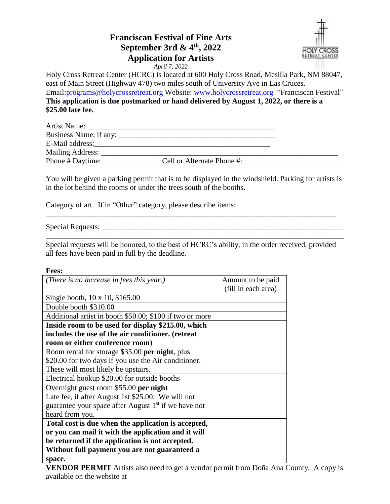## **Franciscan Festival of Fine Arts September 3rd & 4 th, 2022 Application for Artists**



*April 7, 2022*

Holy Cross Retreat Center (HCRC) is located at 600 Holy Cross Road, Mesilla Park, NM 88047, east of Main Street (Highway 478) two miles south of University Ave in Las Cruces. Email[:programs@holycrossretreat.org](mailto:programs@holycrossretreat.org) Website: [www.holycrossretreat.org](http://www.holycrossretreat.org/) "Franciscan Festival" **This application is due postmarked or hand delivered by August 1, 2022, or there is a \$25.00 late fee.** 

| Artist Name:     |                            |  |
|------------------|----------------------------|--|
|                  |                            |  |
|                  |                            |  |
| Mailing Address: |                            |  |
| Phone # Daytime: | Cell or Alternate Phone #: |  |

You will be given a parking permit that is to be displayed in the windshield. Parking for artists is in the lot behind the rooms or under the trees south of the booths.

Category of art. If in "Other" category, please describe items:

Special Requests:

Special requests will be honored, to the best of HCRC's ability, in the order received, provided all fees have been paid in full by the deadline.

\_\_\_\_\_\_\_\_\_\_\_\_\_\_\_\_\_\_\_\_\_\_\_\_\_\_\_\_\_\_\_\_\_\_\_\_\_\_\_\_\_\_\_\_\_\_\_\_\_\_\_\_\_\_\_\_\_\_\_\_\_\_\_\_\_\_\_\_\_\_\_\_\_\_\_\_\_\_

\_\_\_\_\_\_\_\_\_\_\_\_\_\_\_\_\_\_\_\_\_\_\_\_\_\_\_\_\_\_\_\_\_\_\_\_\_\_\_\_\_\_\_\_\_\_\_\_\_\_\_\_\_\_\_\_\_\_\_\_\_\_\_\_\_\_\_\_\_\_\_\_\_\_\_\_

## **Fees:**

| (There is no increase in fees this year.)                        | Amount to be paid   |
|------------------------------------------------------------------|---------------------|
|                                                                  | (fill in each area) |
| Single booth, 10 x 10, \$165.00                                  |                     |
| Double booth \$310.00                                            |                     |
| Additional artist in booth \$50.00; \$100 if two or more         |                     |
| Inside room to be used for display \$215.00, which               |                     |
| includes the use of the air conditioner. (retreat                |                     |
| room or either conference room)                                  |                     |
| Room rental for storage \$35.00 per night, plus                  |                     |
| \$20.00 for two days if you use the Air conditioner.             |                     |
| These will most likely be upstairs.                              |                     |
| Electrical hookup \$20.00 for outside booths                     |                     |
| Overnight guest room \$55.00 per night                           |                     |
| Late fee, if after August 1st \$25.00. We will not               |                     |
| guarantee your space after August 1 <sup>st</sup> if we have not |                     |
| heard from you.                                                  |                     |
| Total cost is due when the application is accepted,              |                     |
| or you can mail it with the application and it will              |                     |
| be returned if the application is not accepted.                  |                     |
| Without full payment you are not guaranteed a                    |                     |
| space.                                                           |                     |

**VENDOR PERMIT** Artists also need to get a vendor permit from Doña Ana County. A copy is available on the website at